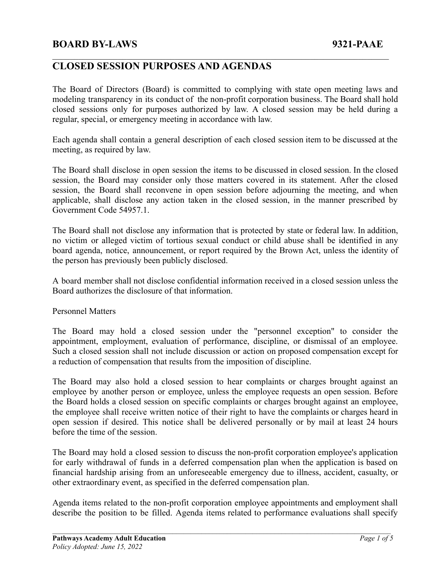### **CLOSED SESSION PURPOSES AND AGENDAS**

The Board of Directors (Board) is committed to complying with state open meeting laws and modeling transparency in its conduct of the non-profit corporation business. The Board shall hold closed sessions only for purposes authorized by law. A closed session may be held during a regular, special, or emergency meeting in accordance with law.

 $\mathcal{L}_\mathcal{L} = \{ \mathcal{L}_\mathcal{L} = \{ \mathcal{L}_\mathcal{L} = \{ \mathcal{L}_\mathcal{L} = \{ \mathcal{L}_\mathcal{L} = \{ \mathcal{L}_\mathcal{L} = \{ \mathcal{L}_\mathcal{L} = \{ \mathcal{L}_\mathcal{L} = \{ \mathcal{L}_\mathcal{L} = \{ \mathcal{L}_\mathcal{L} = \{ \mathcal{L}_\mathcal{L} = \{ \mathcal{L}_\mathcal{L} = \{ \mathcal{L}_\mathcal{L} = \{ \mathcal{L}_\mathcal{L} = \{ \mathcal{L}_\mathcal{$ 

Each agenda shall contain a general description of each closed session item to be discussed at the meeting, as required by law.

The Board shall disclose in open session the items to be discussed in closed session. In the closed session, the Board may consider only those matters covered in its statement. After the closed session, the Board shall reconvene in open session before adjourning the meeting, and when applicable, shall disclose any action taken in the closed session, in the manner prescribed by Government Code 54957.1.

The Board shall not disclose any information that is protected by state or federal law. In addition, no victim or alleged victim of tortious sexual conduct or child abuse shall be identified in any board agenda, notice, announcement, or report required by the Brown Act, unless the identity of the person has previously been publicly disclosed.

A board member shall not disclose confidential information received in a closed session unless the Board authorizes the disclosure of that information.

Personnel Matters

The Board may hold a closed session under the "personnel exception" to consider the appointment, employment, evaluation of performance, discipline, or dismissal of an employee. Such a closed session shall not include discussion or action on proposed compensation except for a reduction of compensation that results from the imposition of discipline.

The Board may also hold a closed session to hear complaints or charges brought against an employee by another person or employee, unless the employee requests an open session. Before the Board holds a closed session on specific complaints or charges brought against an employee, the employee shall receive written notice of their right to have the complaints or charges heard in open session if desired. This notice shall be delivered personally or by mail at least 24 hours before the time of the session.

The Board may hold a closed session to discuss the non-profit corporation employee's application for early withdrawal of funds in a deferred compensation plan when the application is based on financial hardship arising from an unforeseeable emergency due to illness, accident, casualty, or other extraordinary event, as specified in the deferred compensation plan.

Agenda items related to the non-profit corporation employee appointments and employment shall describe the position to be filled. Agenda items related to performance evaluations shall specify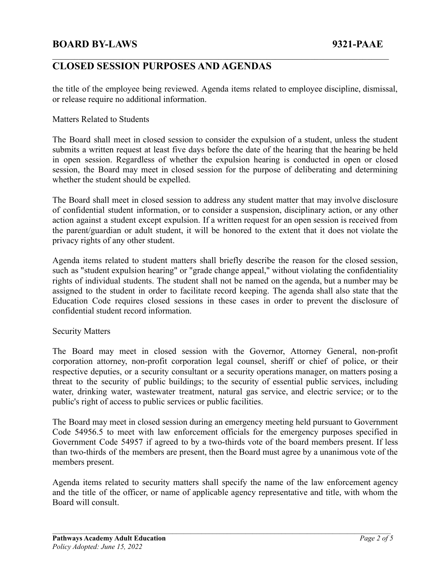# **CLOSED SESSION PURPOSES AND AGENDAS**

the title of the employee being reviewed. Agenda items related to employee discipline, dismissal, or release require no additional information.

 $\mathcal{L}_\mathcal{L} = \{ \mathcal{L}_\mathcal{L} = \{ \mathcal{L}_\mathcal{L} = \{ \mathcal{L}_\mathcal{L} = \{ \mathcal{L}_\mathcal{L} = \{ \mathcal{L}_\mathcal{L} = \{ \mathcal{L}_\mathcal{L} = \{ \mathcal{L}_\mathcal{L} = \{ \mathcal{L}_\mathcal{L} = \{ \mathcal{L}_\mathcal{L} = \{ \mathcal{L}_\mathcal{L} = \{ \mathcal{L}_\mathcal{L} = \{ \mathcal{L}_\mathcal{L} = \{ \mathcal{L}_\mathcal{L} = \{ \mathcal{L}_\mathcal{$ 

#### Matters Related to Students

The Board shall meet in closed session to consider the expulsion of a student, unless the student submits a written request at least five days before the date of the hearing that the hearing be held in open session. Regardless of whether the expulsion hearing is conducted in open or closed session, the Board may meet in closed session for the purpose of deliberating and determining whether the student should be expelled.

The Board shall meet in closed session to address any student matter that may involve disclosure of confidential student information, or to consider a suspension, disciplinary action, or any other action against a student except expulsion. If a written request for an open session is received from the parent/guardian or adult student, it will be honored to the extent that it does not violate the privacy rights of any other student.

Agenda items related to student matters shall briefly describe the reason for the closed session, such as "student expulsion hearing" or "grade change appeal," without violating the confidentiality rights of individual students. The student shall not be named on the agenda, but a number may be assigned to the student in order to facilitate record keeping. The agenda shall also state that the Education Code requires closed sessions in these cases in order to prevent the disclosure of confidential student record information.

#### Security Matters

The Board may meet in closed session with the Governor, Attorney General, non-profit corporation attorney, non-profit corporation legal counsel, sheriff or chief of police, or their respective deputies, or a security consultant or a security operations manager, on matters posing a threat to the security of public buildings; to the security of essential public services, including water, drinking water, wastewater treatment, natural gas service, and electric service; or to the public's right of access to public services or public facilities.

The Board may meet in closed session during an emergency meeting held pursuant to Government Code 54956.5 to meet with law enforcement officials for the emergency purposes specified in Government Code 54957 if agreed to by a two-thirds vote of the board members present. If less than two-thirds of the members are present, then the Board must agree by a unanimous vote of the members present.

Agenda items related to security matters shall specify the name of the law enforcement agency and the title of the officer, or name of applicable agency representative and title, with whom the Board will consult.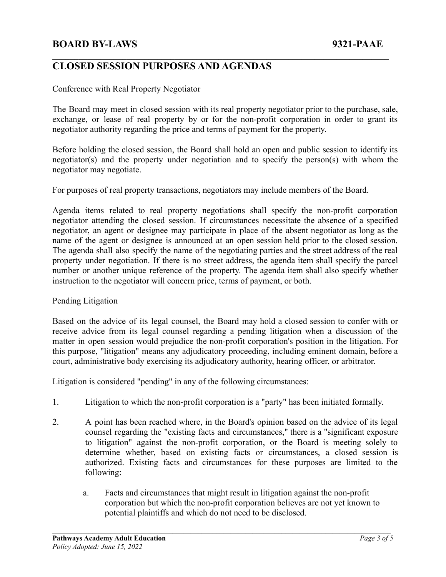# **CLOSED SESSION PURPOSES AND AGENDAS**

#### Conference with Real Property Negotiator

The Board may meet in closed session with its real property negotiator prior to the purchase, sale, exchange, or lease of real property by or for the non-profit corporation in order to grant its negotiator authority regarding the price and terms of payment for the property.

 $\mathcal{L}_\mathcal{L} = \{ \mathcal{L}_\mathcal{L} = \{ \mathcal{L}_\mathcal{L} = \{ \mathcal{L}_\mathcal{L} = \{ \mathcal{L}_\mathcal{L} = \{ \mathcal{L}_\mathcal{L} = \{ \mathcal{L}_\mathcal{L} = \{ \mathcal{L}_\mathcal{L} = \{ \mathcal{L}_\mathcal{L} = \{ \mathcal{L}_\mathcal{L} = \{ \mathcal{L}_\mathcal{L} = \{ \mathcal{L}_\mathcal{L} = \{ \mathcal{L}_\mathcal{L} = \{ \mathcal{L}_\mathcal{L} = \{ \mathcal{L}_\mathcal{$ 

Before holding the closed session, the Board shall hold an open and public session to identify its negotiator(s) and the property under negotiation and to specify the person(s) with whom the negotiator may negotiate.

For purposes of real property transactions, negotiators may include members of the Board.

Agenda items related to real property negotiations shall specify the non-profit corporation negotiator attending the closed session. If circumstances necessitate the absence of a specified negotiator, an agent or designee may participate in place of the absent negotiator as long as the name of the agent or designee is announced at an open session held prior to the closed session. The agenda shall also specify the name of the negotiating parties and the street address of the real property under negotiation. If there is no street address, the agenda item shall specify the parcel number or another unique reference of the property. The agenda item shall also specify whether instruction to the negotiator will concern price, terms of payment, or both.

#### Pending Litigation

Based on the advice of its legal counsel, the Board may hold a closed session to confer with or receive advice from its legal counsel regarding a pending litigation when a discussion of the matter in open session would prejudice the non-profit corporation's position in the litigation. For this purpose, "litigation" means any adjudicatory proceeding, including eminent domain, before a court, administrative body exercising its adjudicatory authority, hearing officer, or arbitrator.

Litigation is considered "pending" in any of the following circumstances:

- 1. Litigation to which the non-profit corporation is a "party" has been initiated formally.
- 2. A point has been reached where, in the Board's opinion based on the advice of its legal counsel regarding the "existing facts and circumstances," there is a "significant exposure to litigation" against the non-profit corporation, or the Board is meeting solely to determine whether, based on existing facts or circumstances, a closed session is authorized. Existing facts and circumstances for these purposes are limited to the following:
	- a. Facts and circumstances that might result in litigation against the non-profit corporation but which the non-profit corporation believes are not yet known to potential plaintiffs and which do not need to be disclosed.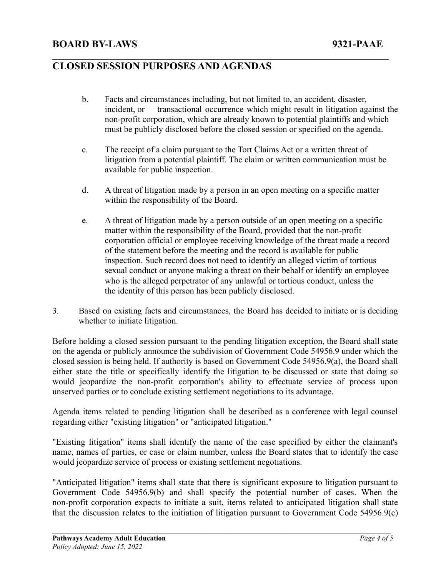# **CLOSED SESSION PURPOSES AND AGENDAS**

b. Facts and circumstances including, but not limited to, an accident, disaster, incident, or transactional occurrence which might result in litigation against the non-profit corporation, which are already known to potential plaintiffs and which must be publicly disclosed before the closed session or specified on the agenda.

 $\mathcal{L}_\mathcal{L} = \{ \mathcal{L}_\mathcal{L} = \{ \mathcal{L}_\mathcal{L} = \{ \mathcal{L}_\mathcal{L} = \{ \mathcal{L}_\mathcal{L} = \{ \mathcal{L}_\mathcal{L} = \{ \mathcal{L}_\mathcal{L} = \{ \mathcal{L}_\mathcal{L} = \{ \mathcal{L}_\mathcal{L} = \{ \mathcal{L}_\mathcal{L} = \{ \mathcal{L}_\mathcal{L} = \{ \mathcal{L}_\mathcal{L} = \{ \mathcal{L}_\mathcal{L} = \{ \mathcal{L}_\mathcal{L} = \{ \mathcal{L}_\mathcal{$ 

- c. The receipt of a claim pursuant to the Tort Claims Act or a written threat of litigation from a potential plaintiff. The claim or written communication must be available for public inspection.
- d. A threat of litigation made by a person in an open meeting on a specific matter within the responsibility of the Board.
- e. A threat of litigation made by a person outside of an open meeting on a specific matter within the responsibility of the Board, provided that the non-profit corporation official or employee receiving knowledge of the threat made a record of the statement before the meeting and the record is available for public inspection. Such record does not need to identify an alleged victim of tortious sexual conduct or anyone making a threat on their behalf or identify an employee who is the alleged perpetrator of any unlawful or tortious conduct, unless the the identity of this person has been publicly disclosed.
- 3. Based on existing facts and circumstances, the Board has decided to initiate or is deciding whether to initiate litigation.

Before holding a closed session pursuant to the pending litigation exception, the Board shall state on the agenda or publicly announce the subdivision of Government Code 54956.9 under which the closed session is being held. If authority is based on Government Code 54956.9(a), the Board shall either state the title or specifically identify the litigation to be discussed or state that doing so would jeopardize the non-profit corporation's ability to effectuate service of process upon unserved parties or to conclude existing settlement negotiations to its advantage.

Agenda items related to pending litigation shall be described as a conference with legal counsel regarding either "existing litigation" or "anticipated litigation."

"Existing litigation" items shall identify the name of the case specified by either the claimant's name, names of parties, or case or claim number, unless the Board states that to identify the case would jeopardize service of process or existing settlement negotiations.

"Anticipated litigation" items shall state that there is significant exposure to litigation pursuant to Government Code 54956.9(b) and shall specify the potential number of cases. When the non-profit corporation expects to initiate a suit, items related to anticipated litigation shall state that the discussion relates to the initiation of litigation pursuant to Government Code 54956.9(c)